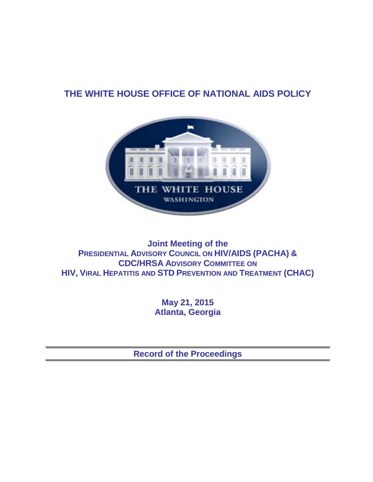# **THE WHITE HOUSE OFFICE OF NATIONAL AIDS POLICY**



**Joint Meeting of the PRESIDENTIAL ADVISORY COUNCIL ON HIV/AIDS (PACHA) & CDC/HRSA ADVISORY COMMITTEE ON HIV, VIRAL HEPATITIS AND STD PREVENTION AND TREATMENT (CHAC)** 

> **May 21, 2015 Atlanta, Georgia**

**Record of the Proceedings**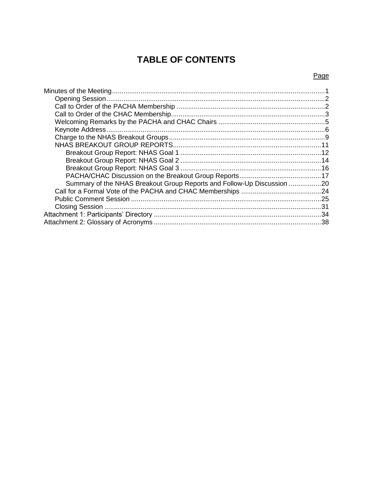# **TABLE OF CONTENTS**

# Page

| Summary of the NHAS Breakout Group Reports and Follow-Up Discussion 20 |  |
|------------------------------------------------------------------------|--|
|                                                                        |  |
|                                                                        |  |
|                                                                        |  |
|                                                                        |  |
|                                                                        |  |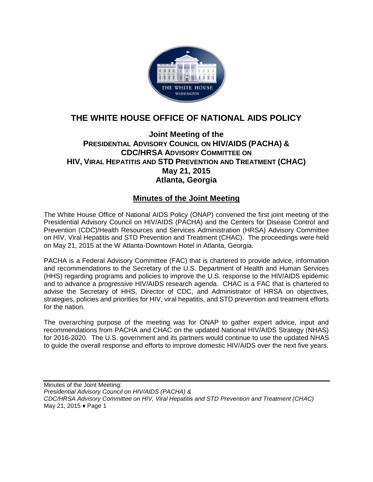

# **THE WHITE HOUSE OFFICE OF NATIONAL AIDS POLICY**

# **Joint Meeting of the PRESIDENTIAL ADVISORY COUNCIL ON HIV/AIDS (PACHA) & CDC/HRSA ADVISORY COMMITTEE ON HIV, VIRAL HEPATITIS AND STD PREVENTION AND TREATMENT (CHAC) May 21, 2015 Atlanta, Georgia**

# **Minutes of the Joint Meeting**

The White House Office of National AIDS Policy (ONAP) convened the first joint meeting of the Presidential Advisory Council on HIV/AIDS (PACHA) and the Centers for Disease Control and Prevention (CDC)/Health Resources and Services Administration (HRSA) Advisory Committee on HIV, Viral Hepatitis and STD Prevention and Treatment (CHAC). The proceedings were held on May 21, 2015 at the W Atlanta-Downtown Hotel in Atlanta, Georgia.

PACHA is a Federal Advisory Committee (FAC) that is chartered to provide advice, information and recommendations to the Secretary of the U.S. Department of Health and Human Services (HHS) regarding programs and policies to improve the U.S. response to the HIV/AIDS epidemic and to advance a progressive HIV/AIDS research agenda. CHAC is a FAC that is chartered to advise the Secretary of HHS, Director of CDC, and Administrator of HRSA on objectives, strategies, policies and priorities for HIV, viral hepatitis, and STD prevention and treatment efforts for the nation.

The overarching purpose of the meeting was for ONAP to gather expert advice, input and recommendations from PACHA and CHAC on the updated National HIV/AIDS Strategy (NHAS) for 2016-2020. The U.S. government and its partners would continue to use the updated NHAS to guide the overall response and efforts to improve domestic HIV/AIDS over the next five years.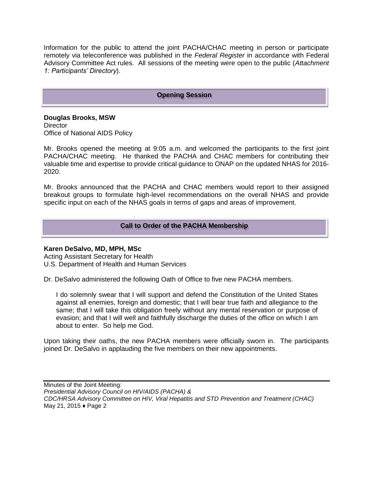Information for the public to attend the joint PACHA/CHAC meeting in person or participate remotely via teleconference was published in the *Federal Register* in accordance with Federal Advisory Committee Act rules. All sessions of the meeting were open to the public (*Attachment 1: Participants' Directory*).

#### **Opening Session**

**Douglas Brooks, MSW Director** Office of National AIDS Policy

Mr. Brooks opened the meeting at 9:05 a.m. and welcomed the participants to the first joint PACHA/CHAC meeting. He thanked the PACHA and CHAC members for contributing their valuable time and expertise to provide critical guidance to ONAP on the updated NHAS for 2016- 2020.

Mr. Brooks announced that the PACHA and CHAC members would report to their assigned breakout groups to formulate high-level recommendations on the overall NHAS and provide specific input on each of the NHAS goals in terms of gaps and areas of improvement.

## **Call to Order of the PACHA Membership**

## **Karen DeSalvo, MD, MPH, MSc**

Acting Assistant Secretary for Health U.S. Department of Health and Human Services

Dr. DeSalvo administered the following Oath of Office to five new PACHA members.

I do solemnly swear that I will support and defend the Constitution of the United States against all enemies, foreign and domestic; that I will bear true faith and allegiance to the same; that I will take this obligation freely without any mental reservation or purpose of evasion; and that I will well and faithfully discharge the duties of the office on which I am about to enter. So help me God.

Upon taking their oaths, the new PACHA members were officially sworn in. The participants joined Dr. DeSalvo in applauding the five members on their new appointments.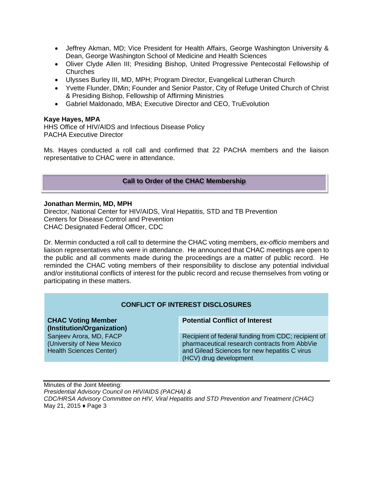- Jeffrey Akman, MD; Vice President for Health Affairs, George Washington University & Dean, George Washington School of Medicine and Health Sciences
- Oliver Clyde Allen III; Presiding Bishop, United Progressive Pentecostal Fellowship of Churches
- Ulysses Burley III, MD, MPH; Program Director, Evangelical Lutheran Church
- Yvette Flunder, DMin; Founder and Senior Pastor, City of Refuge United Church of Christ & Presiding Bishop, Fellowship of Affirming Ministries
- Gabriel Maldonado, MBA; Executive Director and CEO, TruEvolution

#### **Kaye Hayes, MPA**

HHS Office of HIV/AIDS and Infectious Disease Policy PACHA Executive Director

Ms. Hayes conducted a roll call and confirmed that 22 PACHA members and the liaison representative to CHAC were in attendance.

#### **Call to Order of the CHAC Membership**

#### **Jonathan Mermin, MD, MPH**

Director, National Center for HIV/AIDS, Viral Hepatitis, STD and TB Prevention Centers for Disease Control and Prevention CHAC Designated Federal Officer, CDC

Dr. Mermin conducted a roll call to determine the CHAC voting members, *ex-officio* members and liaison representatives who were in attendance. He announced that CHAC meetings are open to the public and all comments made during the proceedings are a matter of public record. He reminded the CHAC voting members of their responsibility to disclose any potential individual and/or institutional conflicts of interest for the public record and recuse themselves from voting or participating in these matters.

## **CONFLICT OF INTEREST DISCLOSURES**

**CHAC Voting Member (Institution/Organization)**  Sanjeev Arora, MD, FACP (University of New Mexico Health Sciences Center)

#### **Potential Conflict of Interest**

Recipient of federal funding from CDC; recipient of pharmaceutical research contracts from AbbVie and Gilead Sciences for new hepatitis C virus (HCV) drug development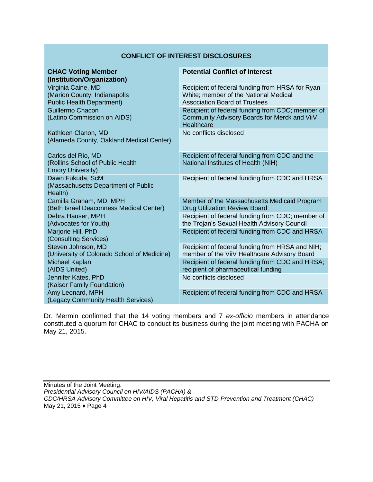#### **CONFLICT OF INTEREST DISCLOSURES**

| <b>CHAC Voting Member</b><br>(Institution/Organization)                                | <b>Potential Conflict of Interest</b>                                                                                            |
|----------------------------------------------------------------------------------------|----------------------------------------------------------------------------------------------------------------------------------|
| Virginia Caine, MD<br>(Marion County, Indianapolis<br><b>Public Health Department)</b> | Recipient of federal funding from HRSA for Ryan<br>White; member of the National Medical<br><b>Association Board of Trustees</b> |
| Guillermo Chacon<br>(Latino Commission on AIDS)                                        | Recipient of federal funding from CDC; member of<br>Community Advisory Boards for Merck and ViiV<br>Healthcare                   |
| Kathleen Clanon, MD<br>(Alameda County, Oakland Medical Center)                        | No conflicts disclosed                                                                                                           |
| Carlos del Rio, MD<br>(Rollins School of Public Health<br><b>Emory University)</b>     | Recipient of federal funding from CDC and the<br>National Institutes of Health (NIH)                                             |
| Dawn Fukuda, ScM<br>(Massachusetts Department of Public<br>Health)                     | Recipient of federal funding from CDC and HRSA                                                                                   |
| Camilla Graham, MD, MPH<br>(Beth Israel Deaconness Medical Center)                     | Member of the Massachusetts Medicaid Program<br><b>Drug Utilization Review Board</b>                                             |
| Debra Hauser, MPH<br>(Advocates for Youth)                                             | Recipient of federal funding from CDC; member of<br>the Trojan's Sexual Health Advisory Council                                  |
| Marjorie Hill, PhD<br>(Consulting Services)                                            | Recipient of federal funding from CDC and HRSA                                                                                   |
| Steven Johnson, MD<br>(University of Colorado School of Medicine)                      | Recipient of federal funding from HRSA and NIH;<br>member of the ViiV Healthcare Advisory Board                                  |
| Michael Kaplan<br>(AIDS United)                                                        | Recipient of federal funding from CDC and HRSA;<br>recipient of pharmaceutical funding                                           |
| Jennifer Kates, PhD<br>(Kaiser Family Foundation)                                      | No conflicts disclosed                                                                                                           |
| Amy Leonard, MPH<br>(Legacy Community Health Services)                                 | Recipient of federal funding from CDC and HRSA                                                                                   |

Dr. Mermin confirmed that the 14 voting members and 7 *ex-officio* members in attendance constituted a quorum for CHAC to conduct its business during the joint meeting with PACHA on May 21, 2015.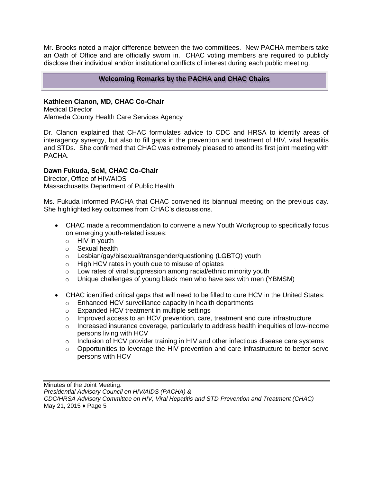Mr. Brooks noted a major difference between the two committees. New PACHA members take an Oath of Office and are officially sworn in. CHAC voting members are required to publicly disclose their individual and/or institutional conflicts of interest during each public meeting.

# **Welcoming Remarks by the PACHA and CHAC Chairs**

# **Kathleen Clanon, MD, CHAC Co-Chair**

Medical Director Alameda County Health Care Services Agency

Dr. Clanon explained that CHAC formulates advice to CDC and HRSA to identify areas of interagency synergy, but also to fill gaps in the prevention and treatment of HIV, viral hepatitis and STDs. She confirmed that CHAC was extremely pleased to attend its first joint meeting with PACHA.

## **Dawn Fukuda, ScM, CHAC Co-Chair**

Director, Office of HIV/AIDS Massachusetts Department of Public Health

Ms. Fukuda informed PACHA that CHAC convened its biannual meeting on the previous day. She highlighted key outcomes from CHAC's discussions.

- CHAC made a recommendation to convene a new Youth Workgroup to specifically focus on emerging youth-related issues:
	- o HIV in youth
	- o Sexual health
	- o Lesbian/gay/bisexual/transgender/questioning (LGBTQ) youth
	- o High HCV rates in youth due to misuse of opiates
	- o Low rates of viral suppression among racial/ethnic minority youth
	- $\circ$  Unique challenges of young black men who have sex with men (YBMSM)
- CHAC identified critical gaps that will need to be filled to cure HCV in the United States:
	- o Enhanced HCV surveillance capacity in health departments
	- o Expanded HCV treatment in multiple settings
	- o Improved access to an HCV prevention, care, treatment and cure infrastructure
	- o Increased insurance coverage, particularly to address health inequities of low-income persons living with HCV
	- o Inclusion of HCV provider training in HIV and other infectious disease care systems
	- $\circ$  Opportunities to leverage the HIV prevention and care infrastructure to better serve persons with HCV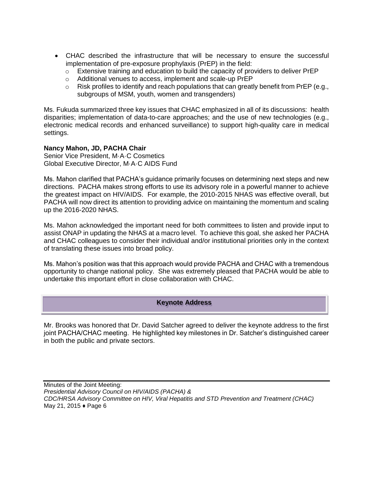- CHAC described the infrastructure that will be necessary to ensure the successful implementation of pre-exposure prophylaxis (PrEP) in the field:
	- $\circ$  Extensive training and education to build the capacity of providers to deliver PrEP
	- o Additional venues to access, implement and scale-up PrEP
	- $\circ$  Risk profiles to identify and reach populations that can greatly benefit from PrEP (e.g., subgroups of MSM, youth, women and transgenders)

Ms. Fukuda summarized three key issues that CHAC emphasized in all of its discussions: health disparities; implementation of data-to-care approaches; and the use of new technologies (e.g., electronic medical records and enhanced surveillance) to support high-quality care in medical settings.

## **Nancy Mahon, JD, PACHA Chair**

Senior Vice President, M·A·C Cosmetics Global Executive Director, M·A·C AIDS Fund

Ms. Mahon clarified that PACHA's guidance primarily focuses on determining next steps and new directions. PACHA makes strong efforts to use its advisory role in a powerful manner to achieve the greatest impact on HIV/AIDS. For example, the 2010-2015 NHAS was effective overall, but PACHA will now direct its attention to providing advice on maintaining the momentum and scaling up the 2016-2020 NHAS.

Ms. Mahon acknowledged the important need for both committees to listen and provide input to assist ONAP in updating the NHAS at a macro level. To achieve this goal, she asked her PACHA and CHAC colleagues to consider their individual and/or institutional priorities only in the context of translating these issues into broad policy.

Ms. Mahon's position was that this approach would provide PACHA and CHAC with a tremendous opportunity to change national policy. She was extremely pleased that PACHA would be able to undertake this important effort in close collaboration with CHAC.

## **Keynote Address**

Mr. Brooks was honored that Dr. David Satcher agreed to deliver the keynote address to the first joint PACHA/CHAC meeting. He highlighted key milestones in Dr. Satcher's distinguished career in both the public and private sectors.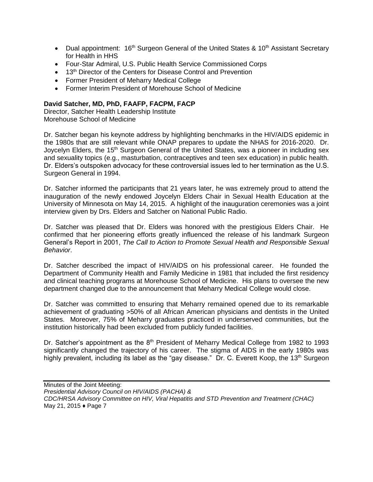- Dual appointment:  $16<sup>th</sup>$  Surgeon General of the United States &  $10<sup>th</sup>$  Assistant Secretary for Health in HHS
- Four-Star Admiral, U.S. Public Health Service Commissioned Corps
- 13<sup>th</sup> Director of the Centers for Disease Control and Prevention
- Former President of Meharry Medical College
- Former Interim President of Morehouse School of Medicine

## **David Satcher, MD, PhD, FAAFP, FACPM, FACP**

Director, Satcher Health Leadership Institute Morehouse School of Medicine

Dr. Satcher began his keynote address by highlighting benchmarks in the HIV/AIDS epidemic in the 1980s that are still relevant while ONAP prepares to update the NHAS for 2016-2020. Dr. Joycelyn Elders, the 15<sup>th</sup> Surgeon General of the United States, was a pioneer in including sex and sexuality topics (e.g., masturbation, contraceptives and teen sex education) in public health. Dr. Elders's outspoken advocacy for these controversial issues led to her termination as the U.S. Surgeon General in 1994.

Dr. Satcher informed the participants that 21 years later, he was extremely proud to attend the inauguration of the newly endowed Joycelyn Elders Chair in Sexual Health Education at the University of Minnesota on May 14, 2015. A highlight of the inauguration ceremonies was a joint interview given by Drs. Elders and Satcher on National Public Radio.

Dr. Satcher was pleased that Dr. Elders was honored with the prestigious Elders Chair. He confirmed that her pioneering efforts greatly influenced the release of his landmark Surgeon General's Report in 2001, *The Call to Action to Promote Sexual Health and Responsible Sexual Behavior*.

Dr. Satcher described the impact of HIV/AIDS on his professional career. He founded the Department of Community Health and Family Medicine in 1981 that included the first residency and clinical teaching programs at Morehouse School of Medicine. His plans to oversee the new department changed due to the announcement that Meharry Medical College would close.

Dr. Satcher was committed to ensuring that Meharry remained opened due to its remarkable achievement of graduating >50% of all African American physicians and dentists in the United States. Moreover, 75% of Meharry graduates practiced in underserved communities, but the institution historically had been excluded from publicly funded facilities.

Dr. Satcher's appointment as the  $8<sup>th</sup>$  President of Meharry Medical College from 1982 to 1993 significantly changed the trajectory of his career. The stigma of AIDS in the early 1980s was highly prevalent, including its label as the "gay disease." Dr. C. Everett Koop, the 13<sup>th</sup> Surgeon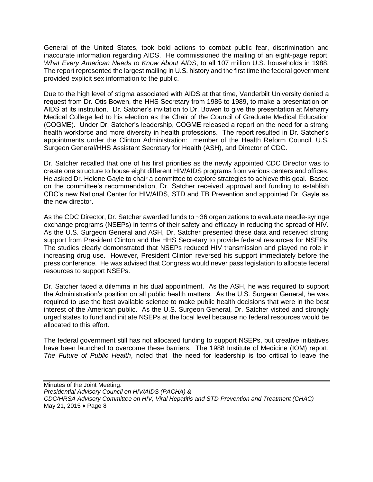General of the United States, took bold actions to combat public fear, discrimination and inaccurate information regarding AIDS. He commissioned the mailing of an eight-page report, *What Every American Needs to Know About AIDS*, to all 107 million U.S. households in 1988. The report represented the largest mailing in U.S. history and the first time the federal government provided explicit sex information to the public.

Due to the high level of stigma associated with AIDS at that time, Vanderbilt University denied a request from Dr. Otis Bowen, the HHS Secretary from 1985 to 1989, to make a presentation on AIDS at its institution. Dr. Satcher's invitation to Dr. Bowen to give the presentation at Meharry Medical College led to his election as the Chair of the Council of Graduate Medical Education (COGME). Under Dr. Satcher's leadership, COGME released a report on the need for a strong health workforce and more diversity in health professions. The report resulted in Dr. Satcher's appointments under the Clinton Administration: member of the Health Reform Council, U.S. Surgeon General/HHS Assistant Secretary for Health (ASH), and Director of CDC.

Dr. Satcher recalled that one of his first priorities as the newly appointed CDC Director was to create one structure to house eight different HIV/AIDS programs from various centers and offices. He asked Dr. Helene Gayle to chair a committee to explore strategies to achieve this goal. Based on the committee's recommendation, Dr. Satcher received approval and funding to establish CDC's new National Center for HIV/AIDS, STD and TB Prevention and appointed Dr. Gayle as the new director.

As the CDC Director, Dr. Satcher awarded funds to ~36 organizations to evaluate needle-syringe exchange programs (NSEPs) in terms of their safety and efficacy in reducing the spread of HIV. As the U.S. Surgeon General and ASH, Dr. Satcher presented these data and received strong support from President Clinton and the HHS Secretary to provide federal resources for NSEPs. The studies clearly demonstrated that NSEPs reduced HIV transmission and played no role in increasing drug use. However, President Clinton reversed his support immediately before the press conference. He was advised that Congress would never pass legislation to allocate federal resources to support NSEPs.

Dr. Satcher faced a dilemma in his dual appointment. As the ASH, he was required to support the Administration's position on all public health matters. As the U.S. Surgeon General, he was required to use the best available science to make public health decisions that were in the best interest of the American public. As the U.S. Surgeon General, Dr. Satcher visited and strongly urged states to fund and initiate NSEPs at the local level because no federal resources would be allocated to this effort.

The federal government still has not allocated funding to support NSEPs, but creative initiatives have been launched to overcome these barriers. The 1988 Institute of Medicine (IOM) report, *The Future of Public Health*, noted that "the need for leadership is too critical to leave the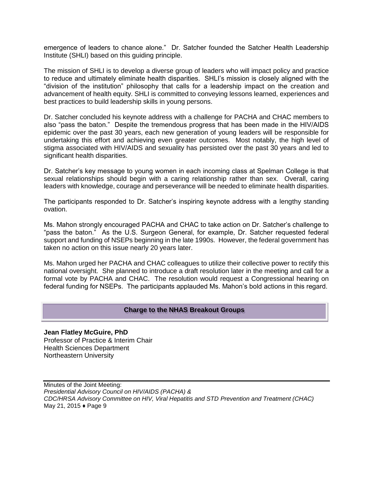emergence of leaders to chance alone." Dr. Satcher founded the Satcher Health Leadership Institute (SHLI) based on this guiding principle.

The mission of SHLI is to develop a diverse group of leaders who will impact policy and practice to reduce and ultimately eliminate health disparities. SHLI's mission is closely aligned with the "division of the institution" philosophy that calls for a leadership impact on the creation and advancement of health equity. SHLI is committed to conveying lessons learned, experiences and best practices to build leadership skills in young persons.

Dr. Satcher concluded his keynote address with a challenge for PACHA and CHAC members to also "pass the baton." Despite the tremendous progress that has been made in the HIV/AIDS epidemic over the past 30 years, each new generation of young leaders will be responsible for undertaking this effort and achieving even greater outcomes. Most notably, the high level of stigma associated with HIV/AIDS and sexuality has persisted over the past 30 years and led to significant health disparities.

Dr. Satcher's key message to young women in each incoming class at Spelman College is that sexual relationships should begin with a caring relationship rather than sex. Overall, caring leaders with knowledge, courage and perseverance will be needed to eliminate health disparities.

The participants responded to Dr. Satcher's inspiring keynote address with a lengthy standing ovation.

Ms. Mahon strongly encouraged PACHA and CHAC to take action on Dr. Satcher's challenge to "pass the baton." As the U.S. Surgeon General, for example, Dr. Satcher requested federal support and funding of NSEPs beginning in the late 1990s. However, the federal government has taken no action on this issue nearly 20 years later.

Ms. Mahon urged her PACHA and CHAC colleagues to utilize their collective power to rectify this national oversight. She planned to introduce a draft resolution later in the meeting and call for a formal vote by PACHA and CHAC. The resolution would request a Congressional hearing on federal funding for NSEPs. The participants applauded Ms. Mahon's bold actions in this regard.

#### **Charge to the NHAS Breakout Groups**

**Jean Flatley McGuire, PhD** Professor of Practice & Interim Chair Health Sciences Department Northeastern University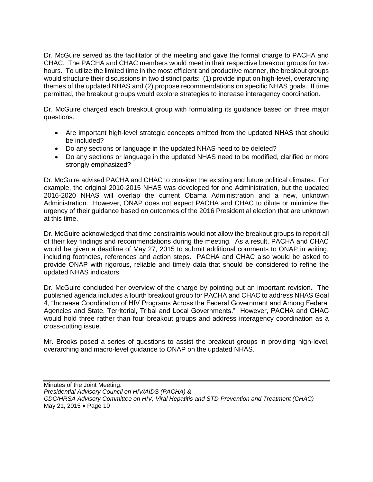Dr. McGuire served as the facilitator of the meeting and gave the formal charge to PACHA and CHAC. The PACHA and CHAC members would meet in their respective breakout groups for two hours. To utilize the limited time in the most efficient and productive manner, the breakout groups would structure their discussions in two distinct parts: (1) provide input on high-level, overarching themes of the updated NHAS and (2) propose recommendations on specific NHAS goals. If time permitted, the breakout groups would explore strategies to increase interagency coordination.

Dr. McGuire charged each breakout group with formulating its guidance based on three major questions.

- Are important high-level strategic concepts omitted from the updated NHAS that should be included?
- Do any sections or language in the updated NHAS need to be deleted?
- Do any sections or language in the updated NHAS need to be modified, clarified or more strongly emphasized?

Dr. McGuire advised PACHA and CHAC to consider the existing and future political climates. For example, the original 2010-2015 NHAS was developed for one Administration, but the updated 2016-2020 NHAS will overlap the current Obama Administration and a new, unknown Administration. However, ONAP does not expect PACHA and CHAC to dilute or minimize the urgency of their guidance based on outcomes of the 2016 Presidential election that are unknown at this time.

Dr. McGuire acknowledged that time constraints would not allow the breakout groups to report all of their key findings and recommendations during the meeting. As a result, PACHA and CHAC would be given a deadline of May 27, 2015 to submit additional comments to ONAP in writing, including footnotes, references and action steps. PACHA and CHAC also would be asked to provide ONAP with rigorous, reliable and timely data that should be considered to refine the updated NHAS indicators.

Dr. McGuire concluded her overview of the charge by pointing out an important revision. The published agenda includes a fourth breakout group for PACHA and CHAC to address NHAS Goal 4, "Increase Coordination of HIV Programs Across the Federal Government and Among Federal Agencies and State, Territorial, Tribal and Local Governments." However, PACHA and CHAC would hold three rather than four breakout groups and address interagency coordination as a cross-cutting issue.

Mr. Brooks posed a series of questions to assist the breakout groups in providing high-level, overarching and macro-level guidance to ONAP on the updated NHAS.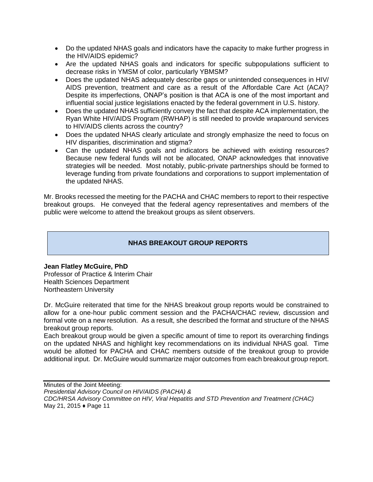- Do the updated NHAS goals and indicators have the capacity to make further progress in the HIV/AIDS epidemic?
- Are the updated NHAS goals and indicators for specific subpopulations sufficient to decrease risks in YMSM of color, particularly YBMSM?
- Does the updated NHAS adequately describe gaps or unintended consequences in HIV/ AIDS prevention, treatment and care as a result of the Affordable Care Act (ACA)? Despite its imperfections, ONAP's position is that ACA is one of the most important and influential social justice legislations enacted by the federal government in U.S. history.
- Does the updated NHAS sufficiently convey the fact that despite ACA implementation, the Ryan White HIV/AIDS Program (RWHAP) is still needed to provide wraparound services to HIV/AIDS clients across the country?
- Does the updated NHAS clearly articulate and strongly emphasize the need to focus on HIV disparities, discrimination and stigma?
- Can the updated NHAS goals and indicators be achieved with existing resources? Because new federal funds will not be allocated, ONAP acknowledges that innovative strategies will be needed. Most notably, public-private partnerships should be formed to leverage funding from private foundations and corporations to support implementation of the updated NHAS.

Mr. Brooks recessed the meeting for the PACHA and CHAC members to report to their respective breakout groups. He conveyed that the federal agency representatives and members of the public were welcome to attend the breakout groups as silent observers.

# **NHAS BREAKOUT GROUP REPORTS**

## **Jean Flatley McGuire, PhD**

Professor of Practice & Interim Chair Health Sciences Department Northeastern University

Dr. McGuire reiterated that time for the NHAS breakout group reports would be constrained to allow for a one-hour public comment session and the PACHA/CHAC review, discussion and formal vote on a new resolution. As a result, she described the format and structure of the NHAS breakout group reports.

Each breakout group would be given a specific amount of time to report its overarching findings on the updated NHAS and highlight key recommendations on its individual NHAS goal. Time would be allotted for PACHA and CHAC members outside of the breakout group to provide additional input. Dr. McGuire would summarize major outcomes from each breakout group report.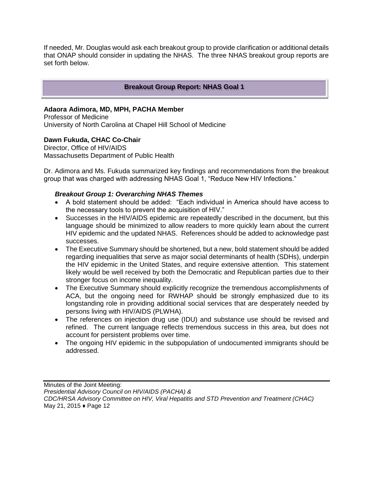If needed, Mr. Douglas would ask each breakout group to provide clarification or additional details that ONAP should consider in updating the NHAS. The three NHAS breakout group reports are set forth below.

## **Breakout Group Report: NHAS Goal 1**

#### **Adaora Adimora, MD, MPH, PACHA Member**

Professor of Medicine University of North Carolina at Chapel Hill School of Medicine

# **Dawn Fukuda, CHAC Co-Chair**

Director, Office of HIV/AIDS Massachusetts Department of Public Health

Dr. Adimora and Ms. Fukuda summarized key findings and recommendations from the breakout group that was charged with addressing NHAS Goal 1, "Reduce New HIV Infections."

#### *Breakout Group 1: Overarching NHAS Themes*

- A bold statement should be added: "Each individual in America should have access to the necessary tools to prevent the acquisition of HIV."
- Successes in the HIV/AIDS epidemic are repeatedly described in the document, but this language should be minimized to allow readers to more quickly learn about the current HIV epidemic and the updated NHAS. References should be added to acknowledge past successes.
- The Executive Summary should be shortened, but a new, bold statement should be added regarding inequalities that serve as major social determinants of health (SDHs), underpin the HIV epidemic in the United States, and require extensive attention. This statement likely would be well received by both the Democratic and Republican parties due to their stronger focus on income inequality.
- The Executive Summary should explicitly recognize the tremendous accomplishments of ACA, but the ongoing need for RWHAP should be strongly emphasized due to its longstanding role in providing additional social services that are desperately needed by persons living with HIV/AIDS (PLWHA).
- The references on injection drug use (IDU) and substance use should be revised and refined. The current language reflects tremendous success in this area, but does not account for persistent problems over time.
- The ongoing HIV epidemic in the subpopulation of undocumented immigrants should be addressed.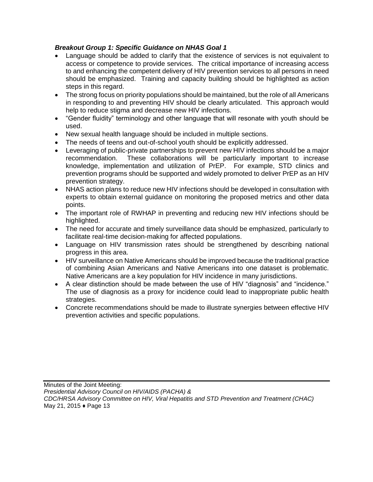# *Breakout Group 1: Specific Guidance on NHAS Goal 1*

- Language should be added to clarify that the existence of services is not equivalent to access or competence to provide services. The critical importance of increasing access to and enhancing the competent delivery of HIV prevention services to all persons in need should be emphasized. Training and capacity building should be highlighted as action steps in this regard.
- The strong focus on priority populations should be maintained, but the role of all Americans in responding to and preventing HIV should be clearly articulated. This approach would help to reduce stigma and decrease new HIV infections.
- "Gender fluidity" terminology and other language that will resonate with youth should be used.
- New sexual health language should be included in multiple sections.
- The needs of teens and out-of-school youth should be explicitly addressed.
- Leveraging of public-private partnerships to prevent new HIV infections should be a major recommendation. These collaborations will be particularly important to increase knowledge, implementation and utilization of PrEP. For example, STD clinics and prevention programs should be supported and widely promoted to deliver PrEP as an HIV prevention strategy.
- NHAS action plans to reduce new HIV infections should be developed in consultation with experts to obtain external guidance on monitoring the proposed metrics and other data points.
- The important role of RWHAP in preventing and reducing new HIV infections should be highlighted.
- The need for accurate and timely surveillance data should be emphasized, particularly to facilitate real-time decision-making for affected populations.
- Language on HIV transmission rates should be strengthened by describing national progress in this area.
- HIV surveillance on Native Americans should be improved because the traditional practice of combining Asian Americans and Native Americans into one dataset is problematic. Native Americans are a key population for HIV incidence in many jurisdictions.
- A clear distinction should be made between the use of HIV "diagnosis" and "incidence." The use of diagnosis as a proxy for incidence could lead to inappropriate public health strategies.
- Concrete recommendations should be made to illustrate synergies between effective HIV prevention activities and specific populations.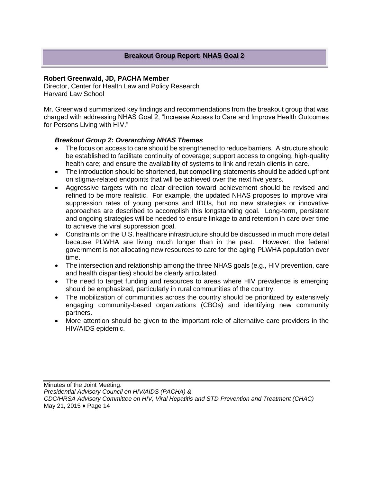#### **Robert Greenwald, JD, PACHA Member**

Director, Center for Health Law and Policy Research Harvard Law School

Mr. Greenwald summarized key findings and recommendations from the breakout group that was charged with addressing NHAS Goal 2, "Increase Access to Care and Improve Health Outcomes for Persons Living with HIV."

## *Breakout Group 2: Overarching NHAS Themes*

- The focus on access to care should be strengthened to reduce barriers. A structure should be established to facilitate continuity of coverage; support access to ongoing, high-quality health care; and ensure the availability of systems to link and retain clients in care.
- The introduction should be shortened, but compelling statements should be added upfront on stigma-related endpoints that will be achieved over the next five years.
- Aggressive targets with no clear direction toward achievement should be revised and refined to be more realistic. For example, the updated NHAS proposes to improve viral suppression rates of young persons and IDUs, but no new strategies or innovative approaches are described to accomplish this longstanding goal. Long-term, persistent and ongoing strategies will be needed to ensure linkage to and retention in care over time to achieve the viral suppression goal.
- Constraints on the U.S. healthcare infrastructure should be discussed in much more detail because PLWHA are living much longer than in the past. However, the federal government is not allocating new resources to care for the aging PLWHA population over time.
- The intersection and relationship among the three NHAS goals (e.g., HIV prevention, care and health disparities) should be clearly articulated.
- The need to target funding and resources to areas where HIV prevalence is emerging should be emphasized, particularly in rural communities of the country.
- The mobilization of communities across the country should be prioritized by extensively engaging community-based organizations (CBOs) and identifying new community partners.
- More attention should be given to the important role of alternative care providers in the HIV/AIDS epidemic.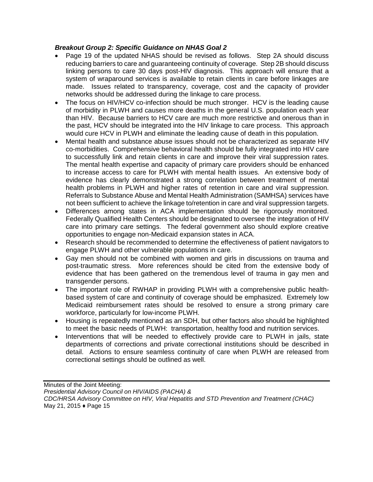## *Breakout Group 2: Specific Guidance on NHAS Goal 2*

- Page 19 of the updated NHAS should be revised as follows. Step 2A should discuss reducing barriers to care and guaranteeing continuity of coverage. Step 2B should discuss linking persons to care 30 days post-HIV diagnosis. This approach will ensure that a system of wraparound services is available to retain clients in care before linkages are made. Issues related to transparency, coverage, cost and the capacity of provider networks should be addressed during the linkage to care process.
- The focus on HIV/HCV co-infection should be much stronger. HCV is the leading cause of morbidity in PLWH and causes more deaths in the general U.S. population each year than HIV. Because barriers to HCV care are much more restrictive and onerous than in the past, HCV should be integrated into the HIV linkage to care process. This approach would cure HCV in PLWH and eliminate the leading cause of death in this population.
- Mental health and substance abuse issues should not be characterized as separate HIV co-morbidities. Comprehensive behavioral health should be fully integrated into HIV care to successfully link and retain clients in care and improve their viral suppression rates. The mental health expertise and capacity of primary care providers should be enhanced to increase access to care for PLWH with mental health issues. An extensive body of evidence has clearly demonstrated a strong correlation between treatment of mental health problems in PLWH and higher rates of retention in care and viral suppression. Referrals to Substance Abuse and Mental Health Administration (SAMHSA) services have not been sufficient to achieve the linkage to/retention in care and viral suppression targets.
- Differences among states in ACA implementation should be rigorously monitored. Federally Qualified Health Centers should be designated to oversee the integration of HIV care into primary care settings. The federal government also should explore creative opportunities to engage non-Medicaid expansion states in ACA.
- Research should be recommended to determine the effectiveness of patient navigators to engage PLWH and other vulnerable populations in care.
- Gay men should not be combined with women and girls in discussions on trauma and post-traumatic stress. More references should be cited from the extensive body of evidence that has been gathered on the tremendous level of trauma in gay men and transgender persons.
- The important role of RWHAP in providing PLWH with a comprehensive public healthbased system of care and continuity of coverage should be emphasized. Extremely low Medicaid reimbursement rates should be resolved to ensure a strong primary care workforce, particularly for low-income PLWH.
- Housing is repeatedly mentioned as an SDH, but other factors also should be highlighted to meet the basic needs of PLWH: transportation, healthy food and nutrition services.
- Interventions that will be needed to effectively provide care to PLWH in jails, state departments of corrections and private correctional institutions should be described in detail. Actions to ensure seamless continuity of care when PLWH are released from correctional settings should be outlined as well.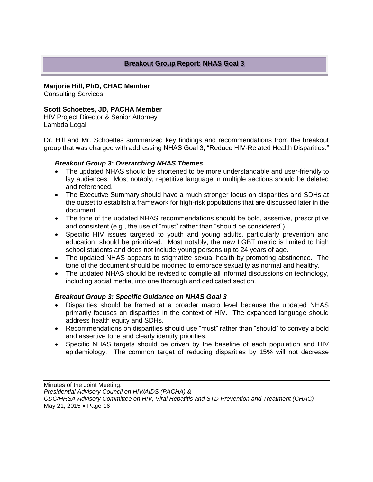## **Breakout Group Report: NHAS Goal 3**

#### **Marjorie Hill, PhD, CHAC Member**

Consulting Services

## **Scott Schoettes, JD, PACHA Member**

HIV Project Director & Senior Attorney Lambda Legal

Dr. Hill and Mr. Schoettes summarized key findings and recommendations from the breakout group that was charged with addressing NHAS Goal 3, "Reduce HIV-Related Health Disparities."

#### *Breakout Group 3: Overarching NHAS Themes*

- The updated NHAS should be shortened to be more understandable and user-friendly to lay audiences. Most notably, repetitive language in multiple sections should be deleted and referenced.
- The Executive Summary should have a much stronger focus on disparities and SDHs at the outset to establish a framework for high-risk populations that are discussed later in the document.
- The tone of the updated NHAS recommendations should be bold, assertive, prescriptive and consistent (e.g., the use of "must" rather than "should be considered").
- Specific HIV issues targeted to youth and young adults, particularly prevention and education, should be prioritized. Most notably, the new LGBT metric is limited to high school students and does not include young persons up to 24 years of age.
- The updated NHAS appears to stigmatize sexual health by promoting abstinence. The tone of the document should be modified to embrace sexuality as normal and healthy.
- The updated NHAS should be revised to compile all informal discussions on technology, including social media, into one thorough and dedicated section.

## *Breakout Group 3: Specific Guidance on NHAS Goal 3*

- Disparities should be framed at a broader macro level because the updated NHAS primarily focuses on disparities in the context of HIV. The expanded language should address health equity and SDHs.
- Recommendations on disparities should use "must" rather than "should" to convey a bold and assertive tone and clearly identify priorities.
- Specific NHAS targets should be driven by the baseline of each population and HIV epidemiology. The common target of reducing disparities by 15% will not decrease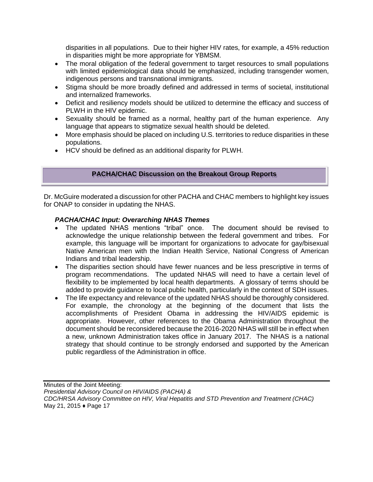disparities in all populations. Due to their higher HIV rates, for example, a 45% reduction in disparities might be more appropriate for YBMSM.

- The moral obligation of the federal government to target resources to small populations with limited epidemiological data should be emphasized, including transgender women, indigenous persons and transnational immigrants.
- Stigma should be more broadly defined and addressed in terms of societal, institutional and internalized frameworks.
- Deficit and resiliency models should be utilized to determine the efficacy and success of PLWH in the HIV epidemic.
- Sexuality should be framed as a normal, healthy part of the human experience. Any language that appears to stigmatize sexual health should be deleted.
- More emphasis should be placed on including U.S. territories to reduce disparities in these populations.
- HCV should be defined as an additional disparity for PLWH.

## **PACHA/CHAC Discussion on the Breakout Group Reports**

Dr. McGuire moderated a discussion for other PACHA and CHAC members to highlight key issues for ONAP to consider in updating the NHAS.

## *PACHA/CHAC Input: Overarching NHAS Themes*

- The updated NHAS mentions "tribal" once. The document should be revised to acknowledge the unique relationship between the federal government and tribes. For example, this language will be important for organizations to advocate for gay/bisexual Native American men with the Indian Health Service, National Congress of American Indians and tribal leadership.
- The disparities section should have fewer nuances and be less prescriptive in terms of program recommendations. The updated NHAS will need to have a certain level of flexibility to be implemented by local health departments. A glossary of terms should be added to provide guidance to local public health, particularly in the context of SDH issues.
- The life expectancy and relevance of the updated NHAS should be thoroughly considered. For example, the chronology at the beginning of the document that lists the accomplishments of President Obama in addressing the HIV/AIDS epidemic is appropriate. However, other references to the Obama Administration throughout the document should be reconsidered because the 2016-2020 NHAS will still be in effect when a new, unknown Administration takes office in January 2017. The NHAS is a national strategy that should continue to be strongly endorsed and supported by the American public regardless of the Administration in office.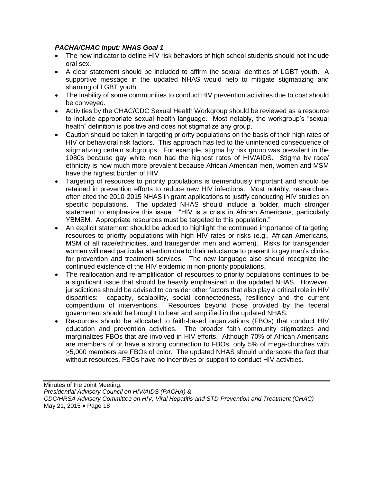# *PACHA/CHAC Input: NHAS Goal 1*

- The new indicator to define HIV risk behaviors of high school students should not include oral sex.
- A clear statement should be included to affirm the sexual identities of LGBT youth. A supportive message in the updated NHAS would help to mitigate stigmatizing and shaming of LGBT youth.
- The inability of some communities to conduct HIV prevention activities due to cost should be conveyed.
- Activities by the CHAC/CDC Sexual Health Workgroup should be reviewed as a resource to include appropriate sexual health language. Most notably, the workgroup's "sexual health" definition is positive and does not stigmatize any group.
- Caution should be taken in targeting priority populations on the basis of their high rates of HIV or behavioral risk factors. This approach has led to the unintended consequence of stigmatizing certain subgroups. For example, stigma by risk group was prevalent in the 1980s because gay white men had the highest rates of HIV/AIDS. Stigma by race/ ethnicity is now much more prevalent because African American men, women and MSM have the highest burden of HIV.
- Targeting of resources to priority populations is tremendously important and should be retained in prevention efforts to reduce new HIV infections. Most notably, researchers often cited the 2010-2015 NHAS in grant applications to justify conducting HIV studies on specific populations. The updated NHAS should include a bolder, much stronger statement to emphasize this issue: "HIV is a crisis in African Americans, particularly YBMSM. Appropriate resources must be targeted to this population."
- An explicit statement should be added to highlight the continued importance of targeting resources to priority populations with high HIV rates or risks (e.g., African Americans, MSM of all race/ethnicities, and transgender men and women). Risks for transgender women will need particular attention due to their reluctance to present to gay men's clinics for prevention and treatment services. The new language also should recognize the continued existence of the HIV epidemic in non-priority populations.
- The reallocation and re-amplification of resources to priority populations continues to be a significant issue that should be heavily emphasized in the updated NHAS. However, jurisdictions should be advised to consider other factors that also play a critical role in HIV disparities: capacity, scalability, social connectedness, resiliency and the current compendium of interventions. Resources beyond those provided by the federal government should be brought to bear and amplified in the updated NHAS.
- Resources should be allocated to faith-based organizations (FBOs) that conduct HIV education and prevention activities. The broader faith community stigmatizes and marginalizes FBOs that are involved in HIV efforts. Although 70% of African Americans are members of or have a strong connection to FBOs, only 5% of mega-churches with >5,000 members are FBOs of color. The updated NHAS should underscore the fact that without resources, FBOs have no incentives or support to conduct HIV activities.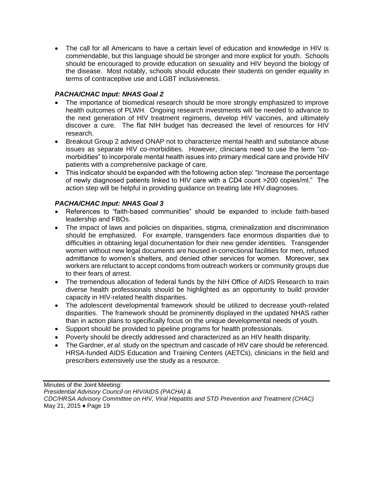The call for all Americans to have a certain level of education and knowledge in HIV is commendable, but this language should be stronger and more explicit for youth. Schools should be encouraged to provide education on sexuality and HIV beyond the biology of the disease. Most notably, schools should educate their students on gender equality in terms of contraceptive use and LGBT inclusiveness.

# *PACHA/CHAC Input: NHAS Goal 2*

- The importance of biomedical research should be more strongly emphasized to improve health outcomes of PLWH. Ongoing research investments will be needed to advance to the next generation of HIV treatment regimens, develop HIV vaccines, and ultimately discover a cure. The flat NIH budget has decreased the level of resources for HIV research.
- Breakout Group 2 advised ONAP not to characterize mental health and substance abuse issues as separate HIV co-morbidities. However, clinicians need to use the term "comorbidities" to incorporate mental health issues into primary medical care and provide HIV patients with a comprehensive package of care.
- This indicator should be expanded with the following action step: "Increase the percentage of newly diagnosed patients linked to HIV care with a CD4 count >200 copies/ml." The action step will be helpful in providing guidance on treating late HIV diagnoses.

# *PACHA/CHAC Input: NHAS Goal 3*

- References to "faith-based communities" should be expanded to include faith-based leadership and FBOs.
- The impact of laws and policies on disparities, stigma, criminalization and discrimination should be emphasized. For example, transgenders face enormous disparities due to difficulties in obtaining legal documentation for their new gender identities. Transgender women without new legal documents are housed in correctional facilities for men, refused admittance to women's shelters, and denied other services for women. Moreover, sex workers are reluctant to accept condoms from outreach workers or community groups due to their fears of arrest.
- The tremendous allocation of federal funds by the NIH Office of AIDS Research to train diverse health professionals should be highlighted as an opportunity to build provider capacity in HIV-related health disparities.
- The adolescent developmental framework should be utilized to decrease youth-related disparities. The framework should be prominently displayed in the updated NHAS rather than in action plans to specifically focus on the unique developmental needs of youth.
- Support should be provided to pipeline programs for health professionals.
- Poverty should be directly addressed and characterized as an HIV health disparity.
- The Gardner, *et al.* study on the spectrum and cascade of HIV care should be referenced. HRSA-funded AIDS Education and Training Centers (AETCs), clinicians in the field and prescribers extensively use the study as a resource.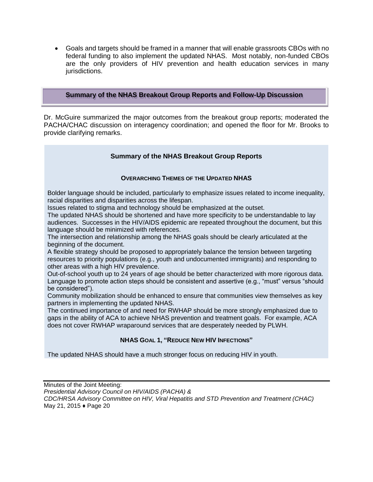Goals and targets should be framed in a manner that will enable grassroots CBOs with no federal funding to also implement the updated NHAS. Most notably, non-funded CBOs are the only providers of HIV prevention and health education services in many jurisdictions.

#### **Summary of the NHAS Breakout Group Reports and Follow-Up Discussion**

Dr. McGuire summarized the major outcomes from the breakout group reports; moderated the PACHA/CHAC discussion on interagency coordination; and opened the floor for Mr. Brooks to provide clarifying remarks.

## **Summary of the NHAS Breakout Group Reports**

#### **OVERARCHING THEMES OF THE UPDATED NHAS**

Bolder language should be included, particularly to emphasize issues related to income inequality, racial disparities and disparities across the lifespan.

Issues related to stigma and technology should be emphasized at the outset.

The updated NHAS should be shortened and have more specificity to be understandable to lay audiences. Successes in the HIV/AIDS epidemic are repeated throughout the document, but this language should be minimized with references.

The intersection and relationship among the NHAS goals should be clearly articulated at the beginning of the document.

A flexible strategy should be proposed to appropriately balance the tension between targeting resources to priority populations (e.g., youth and undocumented immigrants) and responding to other areas with a high HIV prevalence.

Out-of-school youth up to 24 years of age should be better characterized with more rigorous data. Language to promote action steps should be consistent and assertive (e.g., "must" versus "should be considered").

Community mobilization should be enhanced to ensure that communities view themselves as key partners in implementing the updated NHAS.

The continued importance of and need for RWHAP should be more strongly emphasized due to gaps in the ability of ACA to achieve NHAS prevention and treatment goals. For example, ACA does not cover RWHAP wraparound services that are desperately needed by PLWH.

## **NHAS GOAL 1, "REDUCE NEW HIV INFECTIONS"**

The updated NHAS should have a much stronger focus on reducing HIV in youth.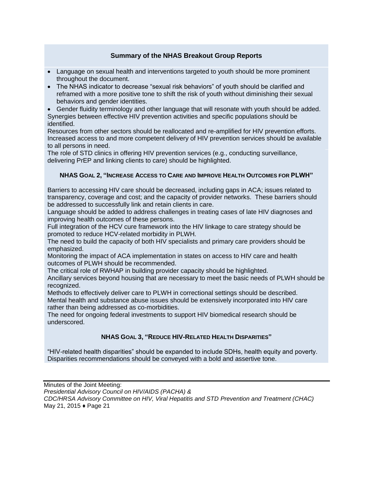## **Summary of the NHAS Breakout Group Reports**

- Language on sexual health and interventions targeted to youth should be more prominent throughout the document.
- The NHAS indicator to decrease "sexual risk behaviors" of youth should be clarified and reframed with a more positive tone to shift the risk of youth without diminishing their sexual behaviors and gender identities.
- Gender fluidity terminology and other language that will resonate with youth should be added. Synergies between effective HIV prevention activities and specific populations should be identified.

Resources from other sectors should be reallocated and re-amplified for HIV prevention efforts. Increased access to and more competent delivery of HIV prevention services should be available to all persons in need.

The role of STD clinics in offering HIV prevention services (e.g., conducting surveillance, delivering PrEP and linking clients to care) should be highlighted.

## **NHAS GOAL 2, "INCREASE ACCESS TO CARE AND IMPROVE HEALTH OUTCOMES FOR PLWH"**

Barriers to accessing HIV care should be decreased, including gaps in ACA; issues related to transparency, coverage and cost; and the capacity of provider networks. These barriers should be addressed to successfully link and retain clients in care.

Language should be added to address challenges in treating cases of late HIV diagnoses and improving health outcomes of these persons.

Full integration of the HCV cure framework into the HIV linkage to care strategy should be promoted to reduce HCV-related morbidity in PLWH.

The need to build the capacity of both HIV specialists and primary care providers should be emphasized.

Monitoring the impact of ACA implementation in states on access to HIV care and health outcomes of PLWH should be recommended.

The critical role of RWHAP in building provider capacity should be highlighted.

Ancillary services beyond housing that are necessary to meet the basic needs of PLWH should be recognized.

Methods to effectively deliver care to PLWH in correctional settings should be described. Mental health and substance abuse issues should be extensively incorporated into HIV care rather than being addressed as co-morbidities.

The need for ongoing federal investments to support HIV biomedical research should be underscored.

## **NHAS GOAL 3, "REDUCE HIV-RELATED HEALTH DISPARITIES"**

"HIV-related health disparities" should be expanded to include SDHs, health equity and poverty. Disparities recommendations should be conveyed with a bold and assertive tone.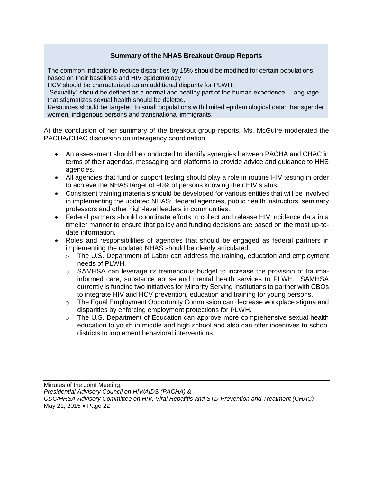# **Summary of the NHAS Breakout Group Reports**

The common indicator to reduce disparities by 15% should be modified for certain populations based on their baselines and HIV epidemiology.

HCV should be characterized as an additional disparity for PLWH.

"Sexuality" should be defined as a normal and healthy part of the human experience. Language that stigmatizes sexual health should be deleted.

Resources should be targeted to small populations with limited epidemiological data: transgender women, indigenous persons and transnational immigrants.

At the conclusion of her summary of the breakout group reports, Ms. McGuire moderated the PACHA/CHAC discussion on interagency coordination.

- An assessment should be conducted to identify synergies between PACHA and CHAC in terms of their agendas, messaging and platforms to provide advice and guidance to HHS agencies.
- All agencies that fund or support testing should play a role in routine HIV testing in order to achieve the NHAS target of 90% of persons knowing their HIV status.
- Consistent training materials should be developed for various entities that will be involved in implementing the updated NHAS: federal agencies, public health instructors, seminary professors and other high-level leaders in communities.
- Federal partners should coordinate efforts to collect and release HIV incidence data in a timelier manner to ensure that policy and funding decisions are based on the most up-todate information.
- Roles and responsibilities of agencies that should be engaged as federal partners in implementing the updated NHAS should be clearly articulated.
	- $\circ$  The U.S. Department of Labor can address the training, education and employment needs of PLWH.
	- $\circ$  SAMHSA can leverage its tremendous budget to increase the provision of traumainformed care, substance abuse and mental health services to PLWH. SAMHSA currently is funding two initiatives for Minority Serving Institutions to partner with CBOs to integrate HIV and HCV prevention, education and training for young persons.
	- $\circ$  The Equal Employment Opportunity Commission can decrease workplace stigma and disparities by enforcing employment protections for PLWH.
	- o The U.S. Department of Education can approve more comprehensive sexual health education to youth in middle and high school and also can offer incentives to school districts to implement behavioral interventions.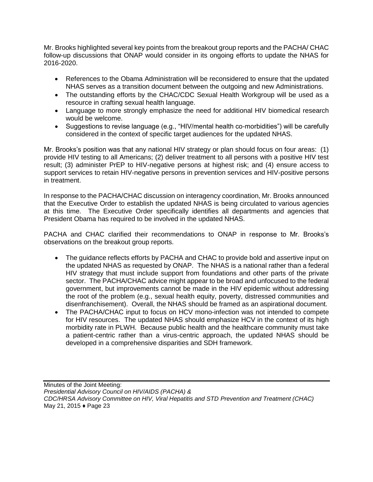Mr. Brooks highlighted several key points from the breakout group reports and the PACHA/ CHAC follow-up discussions that ONAP would consider in its ongoing efforts to update the NHAS for 2016-2020.

- References to the Obama Administration will be reconsidered to ensure that the updated NHAS serves as a transition document between the outgoing and new Administrations.
- The outstanding efforts by the CHAC/CDC Sexual Health Workgroup will be used as a resource in crafting sexual health language.
- Language to more strongly emphasize the need for additional HIV biomedical research would be welcome.
- Suggestions to revise language (e.g., "HIV/mental health co-morbidities") will be carefully considered in the context of specific target audiences for the updated NHAS.

Mr. Brooks's position was that any national HIV strategy or plan should focus on four areas: (1) provide HIV testing to all Americans; (2) deliver treatment to all persons with a positive HIV test result; (3) administer PrEP to HIV-negative persons at highest risk; and (4) ensure access to support services to retain HIV-negative persons in prevention services and HIV-positive persons in treatment.

In response to the PACHA/CHAC discussion on interagency coordination, Mr. Brooks announced that the Executive Order to establish the updated NHAS is being circulated to various agencies at this time. The Executive Order specifically identifies all departments and agencies that President Obama has required to be involved in the updated NHAS.

PACHA and CHAC clarified their recommendations to ONAP in response to Mr. Brooks's observations on the breakout group reports.

- The guidance reflects efforts by PACHA and CHAC to provide bold and assertive input on the updated NHAS as requested by ONAP. The NHAS is a national rather than a federal HIV strategy that must include support from foundations and other parts of the private sector. The PACHA/CHAC advice might appear to be broad and unfocused to the federal government, but improvements cannot be made in the HIV epidemic without addressing the root of the problem (e.g., sexual health equity, poverty, distressed communities and disenfranchisement). Overall, the NHAS should be framed as an aspirational document.
- The PACHA/CHAC input to focus on HCV mono-infection was not intended to compete for HIV resources. The updated NHAS should emphasize HCV in the context of its high morbidity rate in PLWH. Because public health and the healthcare community must take a patient-centric rather than a virus-centric approach, the updated NHAS should be developed in a comprehensive disparities and SDH framework.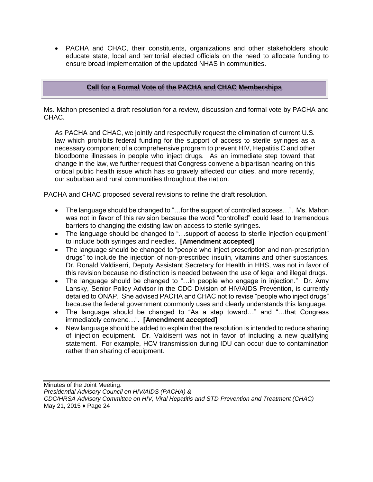PACHA and CHAC, their constituents, organizations and other stakeholders should educate state, local and territorial elected officials on the need to allocate funding to ensure broad implementation of the updated NHAS in communities.

# **Call for a Formal Vote of the PACHA and CHAC Memberships**

Ms. Mahon presented a draft resolution for a review, discussion and formal vote by PACHA and CHAC.

As PACHA and CHAC, we jointly and respectfully request the elimination of current U.S. law which prohibits federal funding for the support of access to sterile syringes as a necessary component of a comprehensive program to prevent HIV, Hepatitis C and other bloodborne illnesses in people who inject drugs. As an immediate step toward that change in the law, we further request that Congress convene a bipartisan hearing on this critical public health issue which has so gravely affected our cities, and more recently, our suburban and rural communities throughout the nation.

PACHA and CHAC proposed several revisions to refine the draft resolution.

- The language should be changed to "...for the support of controlled access...". Ms. Mahon was not in favor of this revision because the word "controlled" could lead to tremendous barriers to changing the existing law on access to sterile syringes.
- The language should be changed to "...support of access to sterile injection equipment" to include both syringes and needles. **[Amendment accepted]**
- The language should be changed to "people who inject prescription and non-prescription drugs" to include the injection of non-prescribed insulin, vitamins and other substances. Dr. Ronald Valdiserri, Deputy Assistant Secretary for Health in HHS, was not in favor of this revision because no distinction is needed between the use of legal and illegal drugs.
- The language should be changed to "…in people who engage in injection." Dr. Amy Lansky, Senior Policy Advisor in the CDC Division of HIV/AIDS Prevention, is currently detailed to ONAP. She advised PACHA and CHAC not to revise "people who inject drugs" because the federal government commonly uses and clearly understands this language.
- The language should be changed to "As a step toward…" and "…that Congress immediately convene…". **[Amendment accepted]**
- New language should be added to explain that the resolution is intended to reduce sharing of injection equipment. Dr. Valdiserri was not in favor of including a new qualifying statement. For example, HCV transmission during IDU can occur due to contamination rather than sharing of equipment.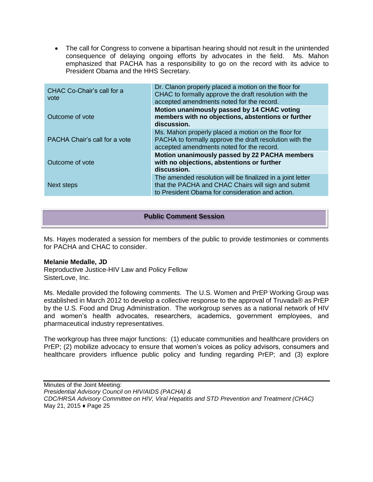The call for Congress to convene a bipartisan hearing should not result in the unintended consequence of delaying ongoing efforts by advocates in the field. Ms. Mahon emphasized that PACHA has a responsibility to go on the record with its advice to President Obama and the HHS Secretary.

| CHAC Co-Chair's call for a<br>vote | Dr. Clanon properly placed a motion on the floor for<br>CHAC to formally approve the draft resolution with the<br>accepted amendments noted for the record.           |
|------------------------------------|-----------------------------------------------------------------------------------------------------------------------------------------------------------------------|
| Outcome of vote                    | Motion unanimously passed by 14 CHAC voting<br>members with no objections, abstentions or further<br>discussion.                                                      |
| PACHA Chair's call for a vote      | Ms. Mahon properly placed a motion on the floor for<br>PACHA to formally approve the draft resolution with the<br>accepted amendments noted for the record.           |
| Outcome of vote                    | Motion unanimously passed by 22 PACHA members<br>with no objections, abstentions or further<br>discussion.                                                            |
| Next steps                         | The amended resolution will be finalized in a joint letter<br>that the PACHA and CHAC Chairs will sign and submit<br>to President Obama for consideration and action. |

## **Public Comment Session**

Ms. Hayes moderated a session for members of the public to provide testimonies or comments for PACHA and CHAC to consider.

#### **Melanie Medalle, JD**

Reproductive Justice-HIV Law and Policy Fellow SisterLove, Inc.

Ms. Medalle provided the following comments. The U.S. Women and PrEP Working Group was established in March 2012 to develop a collective response to the approval of Truvada® as PrEP by the U.S. Food and Drug Administration. The workgroup serves as a national network of HIV and women's health advocates, researchers, academics, government employees, and pharmaceutical industry representatives.

The workgroup has three major functions: (1) educate communities and healthcare providers on PrEP; (2) mobilize advocacy to ensure that women's voices as policy advisors, consumers and healthcare providers influence public policy and funding regarding PrEP; and (3) explore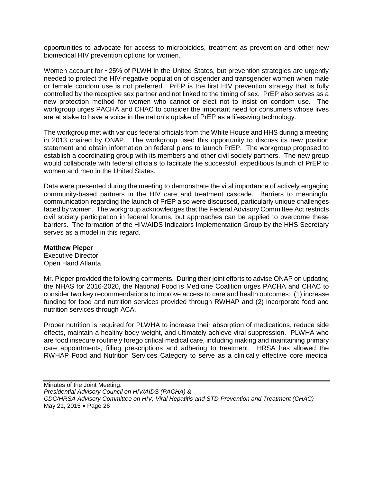opportunities to advocate for access to microbicides, treatment as prevention and other new biomedical HIV prevention options for women.

Women account for ~25% of PLWH in the United States, but prevention strategies are urgently needed to protect the HIV-negative population of cisgender and transgender women when male or female condom use is not preferred. PrEP is the first HIV prevention strategy that is fully controlled by the receptive sex partner and not linked to the timing of sex. PrEP also serves as a new protection method for women who cannot or elect not to insist on condom use. The workgroup urges PACHA and CHAC to consider the important need for consumers whose lives are at stake to have a voice in the nation's uptake of PrEP as a lifesaving technology.

The workgroup met with various federal officials from the White House and HHS during a meeting in 2013 chaired by ONAP. The workgroup used this opportunity to discuss its new position statement and obtain information on federal plans to launch PrEP. The workgroup proposed to establish a coordinating group with its members and other civil society partners. The new group would collaborate with federal officials to facilitate the successful, expeditious launch of PrEP to women and men in the United States.

Data were presented during the meeting to demonstrate the vital importance of actively engaging community-based partners in the HIV care and treatment cascade. Barriers to meaningful communication regarding the launch of PrEP also were discussed, particularly unique challenges faced by women. The workgroup acknowledges that the Federal Advisory Committee Act restricts civil society participation in federal forums, but approaches can be applied to overcome these barriers. The formation of the HIV/AIDS Indicators Implementation Group by the HHS Secretary serves as a model in this regard.

#### **Matthew Pieper**

Executive Director Open Hand Atlanta

Mr. Pieper provided the following comments. During their joint efforts to advise ONAP on updating the NHAS for 2016-2020, the National Food is Medicine Coalition urges PACHA and CHAC to consider two key recommendations to improve access to care and health outcomes: (1) increase funding for food and nutrition services provided through RWHAP and (2) incorporate food and nutrition services through ACA.

Proper nutrition is required for PLWHA to increase their absorption of medications, reduce side effects, maintain a healthy body weight, and ultimately achieve viral suppression. PLWHA who are food insecure routinely forego critical medical care, including making and maintaining primary care appointments, filling prescriptions and adhering to treatment. HRSA has allowed the RWHAP Food and Nutrition Services Category to serve as a clinically effective core medical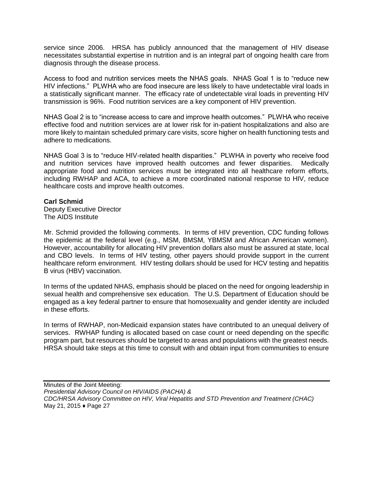service since 2006. HRSA has publicly announced that the management of HIV disease necessitates substantial expertise in nutrition and is an integral part of ongoing health care from diagnosis through the disease process.

Access to food and nutrition services meets the NHAS goals. NHAS Goal 1 is to "reduce new HIV infections." PLWHA who are food insecure are less likely to have undetectable viral loads in a statistically significant manner. The efficacy rate of undetectable viral loads in preventing HIV transmission is 96%. Food nutrition services are a key component of HIV prevention.

NHAS Goal 2 is to "increase access to care and improve health outcomes." PLWHA who receive effective food and nutrition services are at lower risk for in-patient hospitalizations and also are more likely to maintain scheduled primary care visits, score higher on health functioning tests and adhere to medications.

NHAS Goal 3 is to "reduce HIV-related health disparities." PLWHA in poverty who receive food and nutrition services have improved health outcomes and fewer disparities. Medically appropriate food and nutrition services must be integrated into all healthcare reform efforts, including RWHAP and ACA, to achieve a more coordinated national response to HIV, reduce healthcare costs and improve health outcomes.

#### **Carl Schmid**

Deputy Executive Director The AIDS Institute

Mr. Schmid provided the following comments. In terms of HIV prevention, CDC funding follows the epidemic at the federal level (e.g., MSM, BMSM, YBMSM and African American women). However, accountability for allocating HIV prevention dollars also must be assured at state, local and CBO levels. In terms of HIV testing, other payers should provide support in the current healthcare reform environment. HIV testing dollars should be used for HCV testing and hepatitis B virus (HBV) vaccination.

In terms of the updated NHAS, emphasis should be placed on the need for ongoing leadership in sexual health and comprehensive sex education. The U.S. Department of Education should be engaged as a key federal partner to ensure that homosexuality and gender identity are included in these efforts.

In terms of RWHAP, non-Medicaid expansion states have contributed to an unequal delivery of services. RWHAP funding is allocated based on case count or need depending on the specific program part, but resources should be targeted to areas and populations with the greatest needs. HRSA should take steps at this time to consult with and obtain input from communities to ensure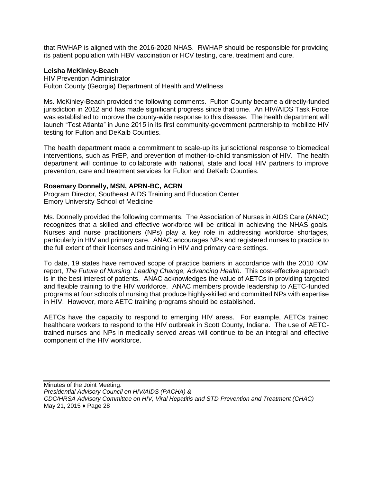that RWHAP is aligned with the 2016-2020 NHAS. RWHAP should be responsible for providing its patient population with HBV vaccination or HCV testing, care, treatment and cure.

#### **Leisha McKinley-Beach**

HIV Prevention Administrator Fulton County (Georgia) Department of Health and Wellness

Ms. McKinley-Beach provided the following comments. Fulton County became a directly-funded jurisdiction in 2012 and has made significant progress since that time. An HIV/AIDS Task Force was established to improve the county-wide response to this disease. The health department will launch "Test Atlanta" in June 2015 in its first community-government partnership to mobilize HIV testing for Fulton and DeKalb Counties.

The health department made a commitment to scale-up its jurisdictional response to biomedical interventions, such as PrEP, and prevention of mother-to-child transmission of HIV. The health department will continue to collaborate with national, state and local HIV partners to improve prevention, care and treatment services for Fulton and DeKalb Counties.

#### **Rosemary Donnelly, MSN, APRN-BC, ACRN**

Program Director, Southeast AIDS Training and Education Center Emory University School of Medicine

Ms. Donnelly provided the following comments. The Association of Nurses in AIDS Care (ANAC) recognizes that a skilled and effective workforce will be critical in achieving the NHAS goals. Nurses and nurse practitioners (NPs) play a key role in addressing workforce shortages, particularly in HIV and primary care. ANAC encourages NPs and registered nurses to practice to the full extent of their licenses and training in HIV and primary care settings.

To date, 19 states have removed scope of practice barriers in accordance with the 2010 IOM report, *The Future of Nursing: Leading Change, Advancing Health*. This cost-effective approach is in the best interest of patients. ANAC acknowledges the value of AETCs in providing targeted and flexible training to the HIV workforce. ANAC members provide leadership to AETC-funded programs at four schools of nursing that produce highly-skilled and committed NPs with expertise in HIV. However, more AETC training programs should be established.

AETCs have the capacity to respond to emerging HIV areas. For example, AETCs trained healthcare workers to respond to the HIV outbreak in Scott County, Indiana. The use of AETCtrained nurses and NPs in medically served areas will continue to be an integral and effective component of the HIV workforce.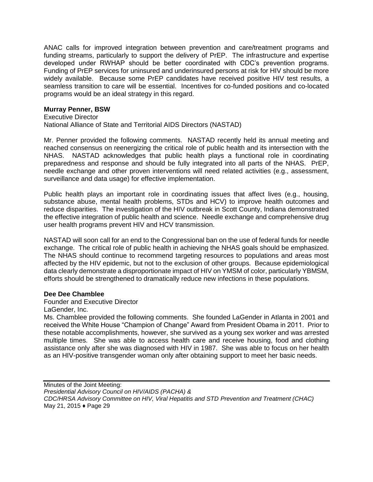ANAC calls for improved integration between prevention and care/treatment programs and funding streams, particularly to support the delivery of PrEP. The infrastructure and expertise developed under RWHAP should be better coordinated with CDC's prevention programs. Funding of PrEP services for uninsured and underinsured persons at risk for HIV should be more widely available. Because some PrEP candidates have received positive HIV test results, a seamless transition to care will be essential. Incentives for co-funded positions and co-located programs would be an ideal strategy in this regard.

#### **Murray Penner, BSW**

Executive Director

National Alliance of State and Territorial AIDS Directors (NASTAD)

Mr. Penner provided the following comments. NASTAD recently held its annual meeting and reached consensus on reenergizing the critical role of public health and its intersection with the NHAS. NASTAD acknowledges that public health plays a functional role in coordinating preparedness and response and should be fully integrated into all parts of the NHAS. PrEP, needle exchange and other proven interventions will need related activities (e.g., assessment, surveillance and data usage) for effective implementation.

Public health plays an important role in coordinating issues that affect lives (e.g., housing, substance abuse, mental health problems, STDs and HCV) to improve health outcomes and reduce disparities. The investigation of the HIV outbreak in Scott County, Indiana demonstrated the effective integration of public health and science. Needle exchange and comprehensive drug user health programs prevent HIV and HCV transmission.

NASTAD will soon call for an end to the Congressional ban on the use of federal funds for needle exchange. The critical role of public health in achieving the NHAS goals should be emphasized. The NHAS should continue to recommend targeting resources to populations and areas most affected by the HIV epidemic, but not to the exclusion of other groups. Because epidemiological data clearly demonstrate a disproportionate impact of HIV on YMSM of color, particularly YBMSM, efforts should be strengthened to dramatically reduce new infections in these populations.

#### **Dee Dee Chamblee**

Founder and Executive Director

LaGender, Inc.

Ms. Chamblee provided the following comments. She founded LaGender in Atlanta in 2001 and received the White House "Champion of Change" Award from President Obama in 2011. Prior to these notable accomplishments, however, she survived as a young sex worker and was arrested multiple times. She was able to access health care and receive housing, food and clothing assistance only after she was diagnosed with HIV in 1987. She was able to focus on her health as an HIV-positive transgender woman only after obtaining support to meet her basic needs.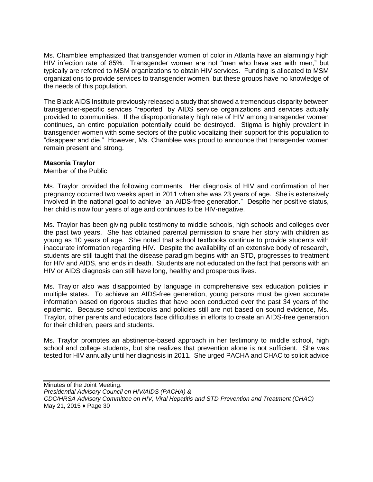Ms. Chamblee emphasized that transgender women of color in Atlanta have an alarmingly high HIV infection rate of 85%. Transgender women are not "men who have sex with men," but typically are referred to MSM organizations to obtain HIV services. Funding is allocated to MSM organizations to provide services to transgender women, but these groups have no knowledge of the needs of this population.

The Black AIDS Institute previously released a study that showed a tremendous disparity between transgender-specific services "reported" by AIDS service organizations and services actually provided to communities. If the disproportionately high rate of HIV among transgender women continues, an entire population potentially could be destroyed. Stigma is highly prevalent in transgender women with some sectors of the public vocalizing their support for this population to "disappear and die." However, Ms. Chamblee was proud to announce that transgender women remain present and strong.

## **Masonia Traylor**

Member of the Public

Ms. Traylor provided the following comments. Her diagnosis of HIV and confirmation of her pregnancy occurred two weeks apart in 2011 when she was 23 years of age. She is extensively involved in the national goal to achieve "an AIDS-free generation." Despite her positive status, her child is now four years of age and continues to be HIV-negative.

Ms. Traylor has been giving public testimony to middle schools, high schools and colleges over the past two years. She has obtained parental permission to share her story with children as young as 10 years of age. She noted that school textbooks continue to provide students with inaccurate information regarding HIV. Despite the availability of an extensive body of research, students are still taught that the disease paradigm begins with an STD, progresses to treatment for HIV and AIDS, and ends in death. Students are not educated on the fact that persons with an HIV or AIDS diagnosis can still have long, healthy and prosperous lives.

Ms. Traylor also was disappointed by language in comprehensive sex education policies in multiple states. To achieve an AIDS-free generation, young persons must be given accurate information based on rigorous studies that have been conducted over the past 34 years of the epidemic. Because school textbooks and policies still are not based on sound evidence, Ms. Traylor, other parents and educators face difficulties in efforts to create an AIDS-free generation for their children, peers and students.

Ms. Traylor promotes an abstinence-based approach in her testimony to middle school, high school and college students, but she realizes that prevention alone is not sufficient. She was tested for HIV annually until her diagnosis in 2011. She urged PACHA and CHAC to solicit advice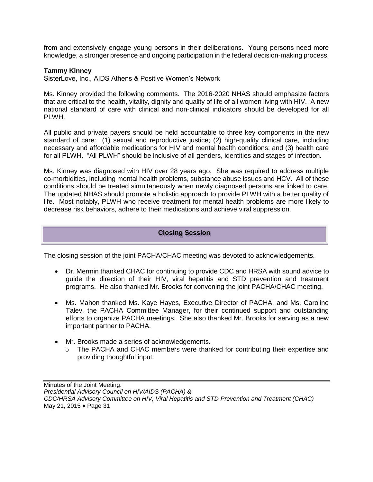from and extensively engage young persons in their deliberations. Young persons need more knowledge, a stronger presence and ongoing participation in the federal decision-making process.

#### **Tammy Kinney**

SisterLove, Inc., AIDS Athens & Positive Women's Network

Ms. Kinney provided the following comments. The 2016-2020 NHAS should emphasize factors that are critical to the health, vitality, dignity and quality of life of all women living with HIV. A new national standard of care with clinical and non-clinical indicators should be developed for all PLWH.

All public and private payers should be held accountable to three key components in the new standard of care: (1) sexual and reproductive justice; (2) high-quality clinical care, including necessary and affordable medications for HIV and mental health conditions; and (3) health care for all PLWH. "All PLWH" should be inclusive of all genders, identities and stages of infection.

Ms. Kinney was diagnosed with HIV over 28 years ago. She was required to address multiple co-morbidities, including mental health problems, substance abuse issues and HCV. All of these conditions should be treated simultaneously when newly diagnosed persons are linked to care. The updated NHAS should promote a holistic approach to provide PLWH with a better quality of life. Most notably, PLWH who receive treatment for mental health problems are more likely to decrease risk behaviors, adhere to their medications and achieve viral suppression.

#### **Closing Session**

The closing session of the joint PACHA/CHAC meeting was devoted to acknowledgements.

- Dr. Mermin thanked CHAC for continuing to provide CDC and HRSA with sound advice to guide the direction of their HIV, viral hepatitis and STD prevention and treatment programs. He also thanked Mr. Brooks for convening the joint PACHA/CHAC meeting.
- Ms. Mahon thanked Ms. Kaye Hayes, Executive Director of PACHA, and Ms. Caroline Talev, the PACHA Committee Manager, for their continued support and outstanding efforts to organize PACHA meetings. She also thanked Mr. Brooks for serving as a new important partner to PACHA.
- Mr. Brooks made a series of acknowledgements.
	- $\circ$  The PACHA and CHAC members were thanked for contributing their expertise and providing thoughtful input.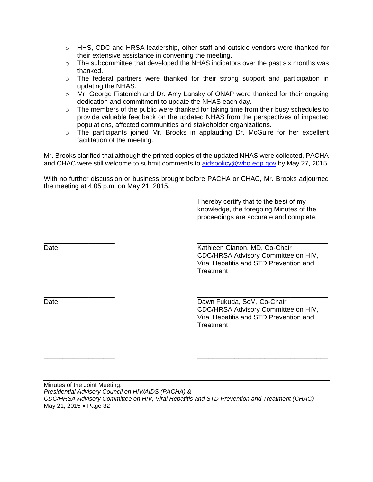- $\circ$  HHS, CDC and HRSA leadership, other staff and outside vendors were thanked for their extensive assistance in convening the meeting.
- $\circ$  The subcommittee that developed the NHAS indicators over the past six months was thanked.
- $\circ$  The federal partners were thanked for their strong support and participation in updating the NHAS.
- o Mr. George Fistonich and Dr. Amy Lansky of ONAP were thanked for their ongoing dedication and commitment to update the NHAS each day.
- $\circ$  The members of the public were thanked for taking time from their busy schedules to provide valuable feedback on the updated NHAS from the perspectives of impacted populations, affected communities and stakeholder organizations.
- $\circ$  The participants joined Mr. Brooks in applauding Dr. McGuire for her excellent facilitation of the meeting.

Mr. Brooks clarified that although the printed copies of the updated NHAS were collected, PACHA and CHAC were still welcome to submit comments to [aidspolicy@who.eop.gov](mailto:aidspolicy@who.eop.gov) by May 27, 2015.

With no further discussion or business brought before PACHA or CHAC, Mr. Brooks adjourned the meeting at 4:05 p.m. on May 21, 2015.

\_\_\_\_\_\_\_\_\_\_\_\_\_\_\_\_\_\_\_ \_\_\_\_\_\_\_\_\_\_\_\_\_\_\_\_\_\_\_\_\_\_\_\_\_\_\_\_\_\_\_\_\_\_\_

\_\_\_\_\_\_\_\_\_\_\_\_\_\_\_\_\_\_\_ \_\_\_\_\_\_\_\_\_\_\_\_\_\_\_\_\_\_\_\_\_\_\_\_\_\_\_\_\_\_\_\_\_\_\_

 I hereby certify that to the best of my knowledge, the foregoing Minutes of the proceedings are accurate and complete.

\_\_\_\_\_\_\_\_\_\_\_\_\_\_\_\_\_\_\_ \_\_\_\_\_\_\_\_\_\_\_\_\_\_\_\_\_\_\_\_\_\_\_\_\_\_\_\_\_\_\_\_\_\_\_

Date **Clanon, MD, Co-Chair** Kathleen Clanon, MD, Co-Chair CDC/HRSA Advisory Committee on HIV, Viral Hepatitis and STD Prevention and **Treatment** 

Date **Date Dawn Fukuda, ScM, Co-Chair Dawn Fukuda, ScM, Co-Chair**  CDC/HRSA Advisory Committee on HIV, Viral Hepatitis and STD Prevention and **Treatment**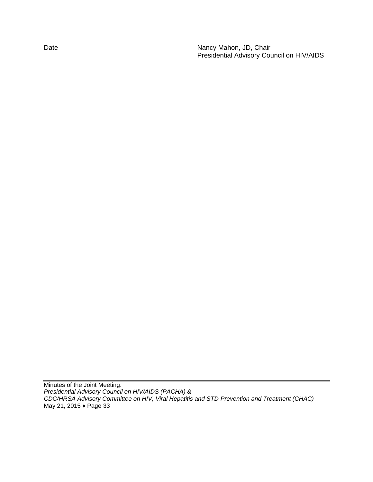Date **Nancy Mahon, JD, Chair** Presidential Advisory Council on HIV/AIDS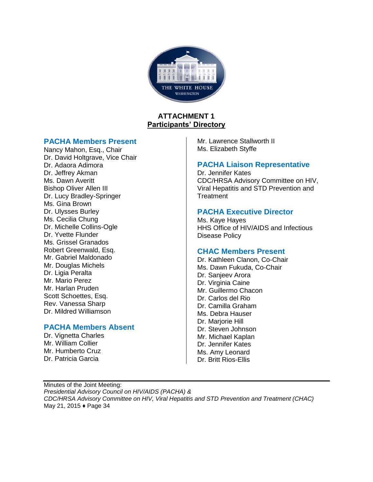

# **ATTACHMENT 1 Participants' Directory**

## **PACHA Members Present**

Nancy Mahon, Esq., Chair Dr. David Holtgrave, Vice Chair Dr. Adaora Adimora Dr. Jeffrey Akman Ms. Dawn Averitt Bishop Oliver Allen III Dr. Lucy Bradley-Springer Ms. Gina Brown Dr. Ulysses Burley Ms. Cecilia Chung Dr. Michelle Collins-Ogle Dr. Yvette Flunder Ms. Grissel Granados Robert Greenwald, Esq. Mr. Gabriel Maldonado Mr. Douglas Michels Dr. Ligia Peralta Mr. Mario Perez Mr. Harlan Pruden Scott Schoettes, Esq. Rev. Vanessa Sharp Dr. Mildred Williamson

# **PACHA Members Absent**

Dr. Vignetta Charles Mr. William Collier Mr. Humberto Cruz Dr. Patricia Garcia

Mr. Lawrence Stallworth II Ms. Elizabeth Styffe

# **PACHA Liaison Representative**

Dr. Jennifer Kates CDC/HRSA Advisory Committee on HIV, Viral Hepatitis and STD Prevention and **Treatment** 

# **PACHA Executive Director**

Ms. Kaye Hayes HHS Office of HIV/AIDS and Infectious Disease Policy

# **CHAC Members Present**

Dr. Kathleen Clanon, Co-Chair Ms. Dawn Fukuda, Co-Chair Dr. Sanieev Arora Dr. Virginia Caine Mr. Guillermo Chacon Dr. Carlos del Rio Dr. Camilla Graham Ms. Debra Hauser Dr. Marjorie Hill Dr. Steven Johnson Mr. Michael Kaplan Dr. Jennifer Kates Ms. Amy Leonard Dr. Britt Rios-Ellis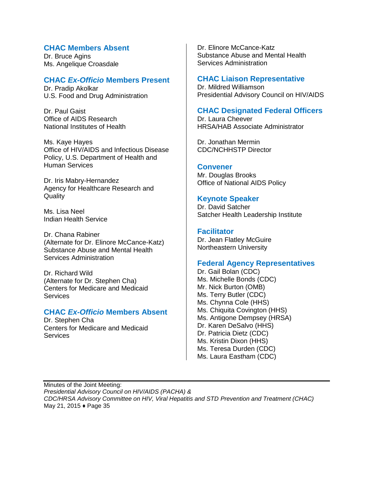# **CHAC Members Absent**

Dr. Bruce Agins Ms. Angelique Croasdale

# **CHAC** *Ex-Officio* **Members Present**

Dr. Pradip Akolkar U.S. Food and Drug Administration

Dr. Paul Gaist Office of AIDS Research National Institutes of Health

Ms. Kaye Hayes Office of HIV/AIDS and Infectious Disease Policy, U.S. Department of Health and Human Services

Dr. Iris Mabry-Hernandez Agency for Healthcare Research and **Quality** 

Ms. Lisa Neel Indian Health Service

Dr. Chana Rabiner (Alternate for Dr. Elinore McCance-Katz) Substance Abuse and Mental Health Services Administration

Dr. Richard Wild (Alternate for Dr. Stephen Cha) Centers for Medicare and Medicaid **Services** 

## **CHAC** *Ex-Officio* **Members Absent**

Dr. Stephen Cha Centers for Medicare and Medicaid **Services** 

Dr. Elinore McCance-Katz Substance Abuse and Mental Health Services Administration

#### **CHAC Liaison Representative**

Dr. Mildred Williamson Presidential Advisory Council on HIV/AIDS

## **CHAC Designated Federal Officers**

Dr. Laura Cheever HRSA/HAB Associate Administrator

Dr. Jonathan Mermin CDC/NCHHSTP Director

#### **Convener**

Mr. Douglas Brooks Office of National AIDS Policy

## **Keynote Speaker**

Dr. David Satcher Satcher Health Leadership Institute

#### **Facilitator**

Dr. Jean Flatley McGuire Northeastern University

## **Federal Agency Representatives**

Dr. Gail Bolan (CDC) Ms. Michelle Bonds (CDC) Mr. Nick Burton (OMB) Ms. Terry Butler (CDC) Ms. Chynna Cole (HHS) Ms. Chiquita Covington (HHS) Ms. Antigone Dempsey (HRSA) Dr. Karen DeSalvo (HHS) Dr. Patricia Dietz (CDC) Ms. Kristin Dixon (HHS) Ms. Teresa Durden (CDC) Ms. Laura Eastham (CDC)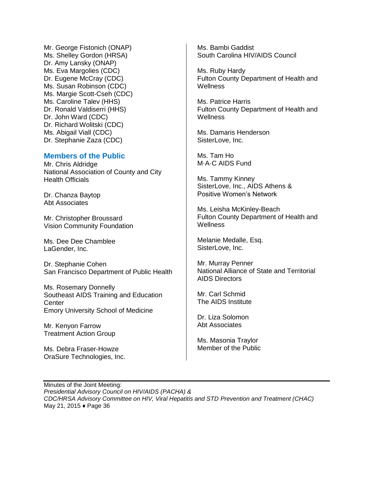Mr. George Fistonich (ONAP) Ms. Shelley Gordon (HRSA) Dr. Amy Lansky (ONAP) Ms. Eva Margolies (CDC) Dr. Eugene McCray (CDC) Ms. Susan Robinson (CDC) Ms. Margie Scott-Cseh (CDC) Ms. Caroline Talev (HHS) Dr. Ronald Valdiserri (HHS) Dr. John Ward (CDC) Dr. Richard Wolitski (CDC) Ms. Abigail Viall (CDC) Dr. Stephanie Zaza (CDC)

#### **Members of the Public**

Mr. Chris Aldridge National Association of County and City Health Officials

Dr. Chanza Baytop Abt Associates

Mr. Christopher Broussard Vision Community Foundation

Ms. Dee Dee Chamblee LaGender, Inc.

Dr. Stephanie Cohen San Francisco Department of Public Health

Ms. Rosemary Donnelly Southeast AIDS Training and Education **Center** Emory University School of Medicine

Mr. Kenyon Farrow Treatment Action Group

Ms. Debra Fraser-Howze OraSure Technologies, Inc. Ms. Bambi Gaddist South Carolina HIV/AIDS Council

Ms. Ruby Hardy Fulton County Department of Health and **Wellness** 

Ms. Patrice Harris Fulton County Department of Health and **Wellness** 

Ms. Damaris Henderson SisterLove, Inc.

Ms. Tam Ho M·A·C AIDS Fund

Ms. Tammy Kinney SisterLove, Inc., AIDS Athens & Positive Women's Network

Ms. Leisha McKinley-Beach Fulton County Department of Health and **Wellness** 

Melanie Medalle, Esq. SisterLove, Inc.

Mr. Murray Penner National Alliance of State and Territorial AIDS Directors

Mr. Carl Schmid The AIDS Institute

Dr. Liza Solomon Abt Associates

Ms. Masonia Traylor Member of the Public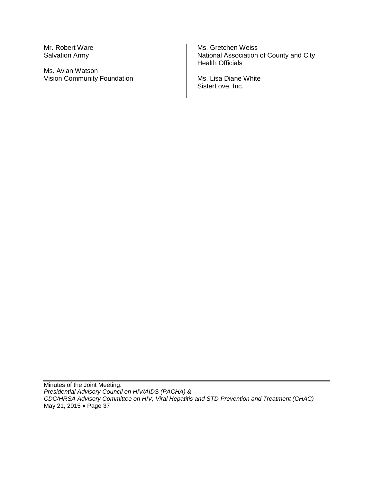Mr. Robert Ware Salvation Army

Ms. Avian Watson Vision Community Foundation

Ms. Gretchen Weiss National Association of County and City Health Officials

Ms. Lisa Diane White SisterLove, Inc.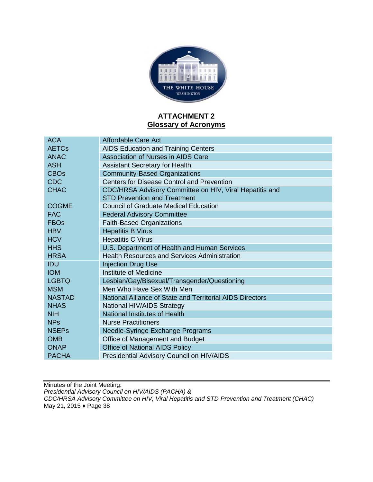

# **ATTACHMENT 2 Glossary of Acronyms**

| <b>ACA</b>              | Affordable Care Act                                       |
|-------------------------|-----------------------------------------------------------|
| <b>AETC<sub>s</sub></b> | <b>AIDS Education and Training Centers</b>                |
| <b>ANAC</b>             | Association of Nurses in AIDS Care                        |
| <b>ASH</b>              | <b>Assistant Secretary for Health</b>                     |
| <b>CBO<sub>s</sub></b>  | <b>Community-Based Organizations</b>                      |
| <b>CDC</b>              | Centers for Disease Control and Prevention                |
| <b>CHAC</b>             | CDC/HRSA Advisory Committee on HIV, Viral Hepatitis and   |
|                         | <b>STD Prevention and Treatment</b>                       |
| <b>COGME</b>            | <b>Council of Graduate Medical Education</b>              |
| <b>FAC</b>              | <b>Federal Advisory Committee</b>                         |
| <b>FBOs</b>             | <b>Faith-Based Organizations</b>                          |
| <b>HBV</b>              | <b>Hepatitis B Virus</b>                                  |
| <b>HCV</b>              | <b>Hepatitis C Virus</b>                                  |
| <b>HHS</b>              | U.S. Department of Health and Human Services              |
| <b>HRSA</b>             | <b>Health Resources and Services Administration</b>       |
| <b>IDU</b>              | <b>Injection Drug Use</b>                                 |
| <b>IOM</b>              | <b>Institute of Medicine</b>                              |
| <b>LGBTQ</b>            | Lesbian/Gay/Bisexual/Transgender/Questioning              |
| <b>MSM</b>              | Men Who Have Sex With Men                                 |
| <b>NASTAD</b>           | National Alliance of State and Territorial AIDS Directors |
| <b>NHAS</b>             | National HIV/AIDS Strategy                                |
| <b>NIH</b>              | National Institutes of Health                             |
| <b>NPs</b>              | <b>Nurse Practitioners</b>                                |
| <b>NSEPs</b>            | Needle-Syringe Exchange Programs                          |
| <b>OMB</b>              | Office of Management and Budget                           |
| <b>ONAP</b>             | <b>Office of National AIDS Policy</b>                     |
| <b>PACHA</b>            | Presidential Advisory Council on HIV/AIDS                 |
|                         |                                                           |